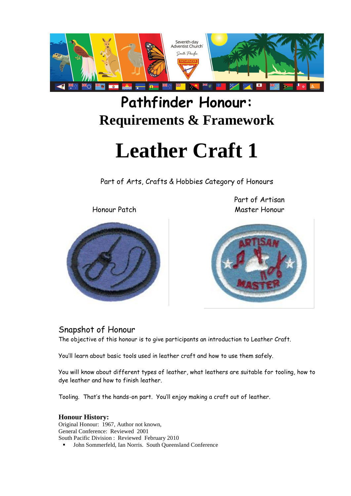

## **Pathfinder Honour: Requirements & Framework**

# **Leather Craft 1**

Part of Arts, Crafts & Hobbies Category of Honours

Honour Patch

Part of Artisan Master Honour



#### Snapshot of Honour

The objective of this honour is to give participants an introduction to Leather Craft.

You'll learn about basic tools used in leather craft and how to use them safely.

You will know about different types of leather, what leathers are suitable for tooling, how to dye leather and how to finish leather.

Tooling. That's the hands-on part. You'll enjoy making a craft out of leather.

#### **Honour History:**

Original Honour: 1967, Author not known, General Conference: Reviewed 2001 South Pacific Division : Reviewed February 2010 John Sommerfeld, Ian Norris. South Queensland Conference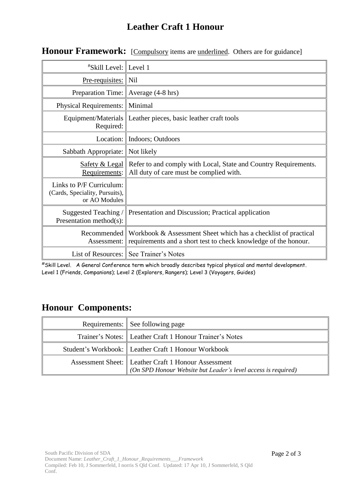#### **Leather Craft 1 Honour**

| <i><b>*Skill Level: Level 1</b></i>                                         |                                                                                                                                   |
|-----------------------------------------------------------------------------|-----------------------------------------------------------------------------------------------------------------------------------|
| <u>Pre-requisites:</u>                                                      | $\ $ Nil                                                                                                                          |
| Preparation Time: Average (4-8 hrs)                                         |                                                                                                                                   |
| <b>Physical Requirements:</b>                                               | Minimal                                                                                                                           |
| Required:                                                                   | Equipment/Materials   Leather pieces, basic leather craft tools                                                                   |
|                                                                             | Location:   Indoors; Outdoors                                                                                                     |
| Sabbath Appropriate:                                                        | Not likely                                                                                                                        |
| Safety & Legal<br>Requirements:                                             | Refer to and comply with Local, State and Country Requirements.<br>All duty of care must be complied with.                        |
| Links to P/F Curriculum:<br>(Cards, Speciality, Pursuits),<br>or AO Modules |                                                                                                                                   |
| Suggested Teaching /<br>Presentation method(s):                             | Presentation and Discussion; Practical application                                                                                |
| Recommended<br>Assessment:                                                  | Workbook & Assessment Sheet which has a checklist of practical<br>requirements and a short test to check knowledge of the honour. |
|                                                                             | List of Resources: See Trainer's Notes                                                                                            |

#### Honour Framework: [Compulsory items are underlined. Others are for guidance]

#Skill Level. A General Conference term which broadly describes typical physical and mental development. Level 1 (Friends, Companions); Level 2 (Explorers, Rangers); Level 3 (Voyagers, Guides)

#### **Honour Components:**

| Requirements: See following page                                                                                       |
|------------------------------------------------------------------------------------------------------------------------|
| Trainer's Notes: Leather Craft 1 Honour Trainer's Notes                                                                |
| Student's Workbook: Leather Craft 1 Honour Workbook                                                                    |
| Assessment Sheet:   Leather Craft 1 Honour Assessment<br>(On SPD Honour Website but Leader's level access is required) |